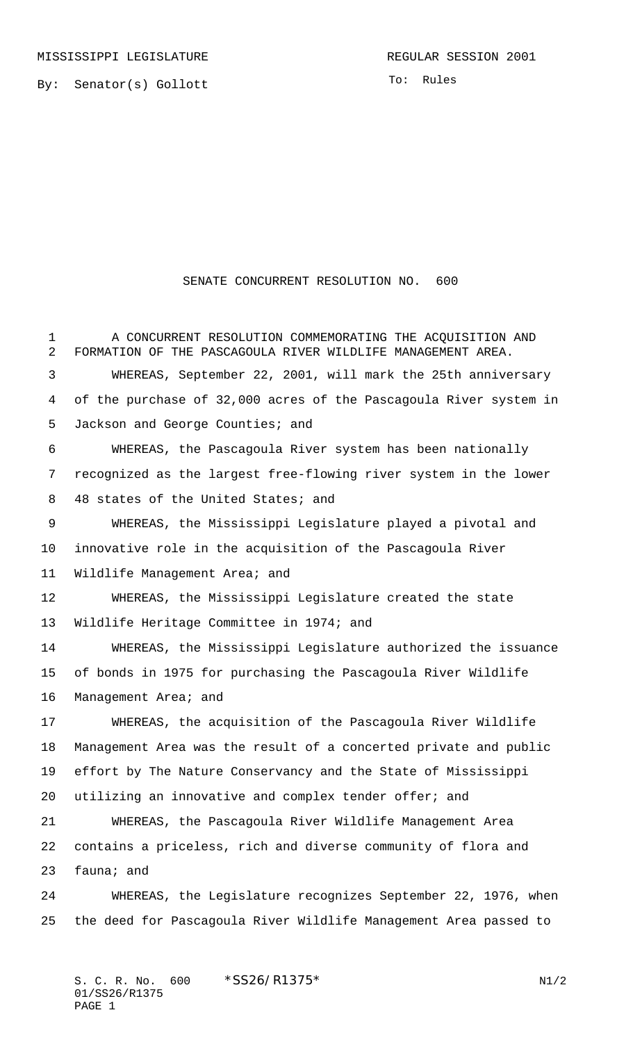By: Senator(s) Gollott

To: Rules

SENATE CONCURRENT RESOLUTION NO. 600

 A CONCURRENT RESOLUTION COMMEMORATING THE ACQUISITION AND FORMATION OF THE PASCAGOULA RIVER WILDLIFE MANAGEMENT AREA. WHEREAS, September 22, 2001, will mark the 25th anniversary of the purchase of 32,000 acres of the Pascagoula River system in 5 Jackson and George Counties; and WHEREAS, the Pascagoula River system has been nationally recognized as the largest free-flowing river system in the lower 8 48 states of the United States; and WHEREAS, the Mississippi Legislature played a pivotal and innovative role in the acquisition of the Pascagoula River Wildlife Management Area; and WHEREAS, the Mississippi Legislature created the state Wildlife Heritage Committee in 1974; and WHEREAS, the Mississippi Legislature authorized the issuance of bonds in 1975 for purchasing the Pascagoula River Wildlife Management Area; and WHEREAS, the acquisition of the Pascagoula River Wildlife Management Area was the result of a concerted private and public effort by The Nature Conservancy and the State of Mississippi utilizing an innovative and complex tender offer; and WHEREAS, the Pascagoula River Wildlife Management Area contains a priceless, rich and diverse community of flora and fauna; and WHEREAS, the Legislature recognizes September 22, 1976, when the deed for Pascagoula River Wildlife Management Area passed to